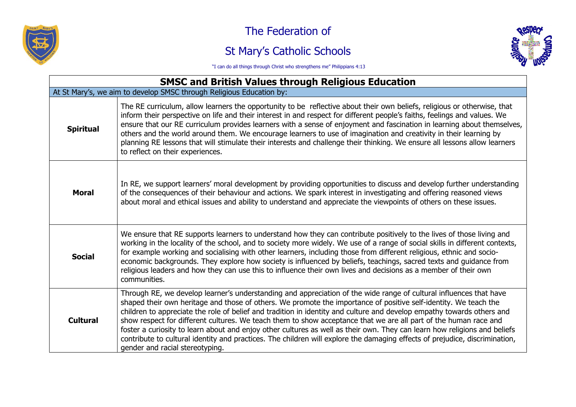

## The Federation of

## St Mary's Catholic Schools



"I can do all things through Christ who strengthens me" Philippians 4:13

| <b>SMSC and British Values through Religious Education</b>           |                                                                                                                                                                                                                                                                                                                                                                                                                                                                                                                                                                                                                                                                                                                                                                                     |  |
|----------------------------------------------------------------------|-------------------------------------------------------------------------------------------------------------------------------------------------------------------------------------------------------------------------------------------------------------------------------------------------------------------------------------------------------------------------------------------------------------------------------------------------------------------------------------------------------------------------------------------------------------------------------------------------------------------------------------------------------------------------------------------------------------------------------------------------------------------------------------|--|
| At St Mary's, we aim to develop SMSC through Religious Education by: |                                                                                                                                                                                                                                                                                                                                                                                                                                                                                                                                                                                                                                                                                                                                                                                     |  |
| <b>Spiritual</b>                                                     | The RE curriculum, allow learners the opportunity to be reflective about their own beliefs, religious or otherwise, that<br>inform their perspective on life and their interest in and respect for different people's faiths, feelings and values. We<br>ensure that our RE curriculum provides learners with a sense of enjoyment and fascination in learning about themselves,<br>others and the world around them. We encourage learners to use of imagination and creativity in their learning by<br>planning RE lessons that will stimulate their interests and challenge their thinking. We ensure all lessons allow learners<br>to reflect on their experiences.                                                                                                             |  |
| <b>Moral</b>                                                         | In RE, we support learners' moral development by providing opportunities to discuss and develop further understanding<br>of the consequences of their behaviour and actions. We spark interest in investigating and offering reasoned views<br>about moral and ethical issues and ability to understand and appreciate the viewpoints of others on these issues.                                                                                                                                                                                                                                                                                                                                                                                                                    |  |
| <b>Social</b>                                                        | We ensure that RE supports learners to understand how they can contribute positively to the lives of those living and<br>working in the locality of the school, and to society more widely. We use of a range of social skills in different contexts,<br>for example working and socialising with other learners, including those from different religious, ethnic and socio-<br>economic backgrounds. They explore how society is influenced by beliefs, teachings, sacred texts and guidance from<br>religious leaders and how they can use this to influence their own lives and decisions as a member of their own<br>communities.                                                                                                                                              |  |
| <b>Cultural</b>                                                      | Through RE, we develop learner's understanding and appreciation of the wide range of cultural influences that have<br>shaped their own heritage and those of others. We promote the importance of positive self-identity. We teach the<br>children to appreciate the role of belief and tradition in identity and culture and develop empathy towards others and<br>show respect for different cultures. We teach them to show acceptance that we are all part of the human race and<br>foster a curiosity to learn about and enjoy other cultures as well as their own. They can learn how religions and beliefs<br>contribute to cultural identity and practices. The children will explore the damaging effects of prejudice, discrimination,<br>gender and racial stereotyping. |  |